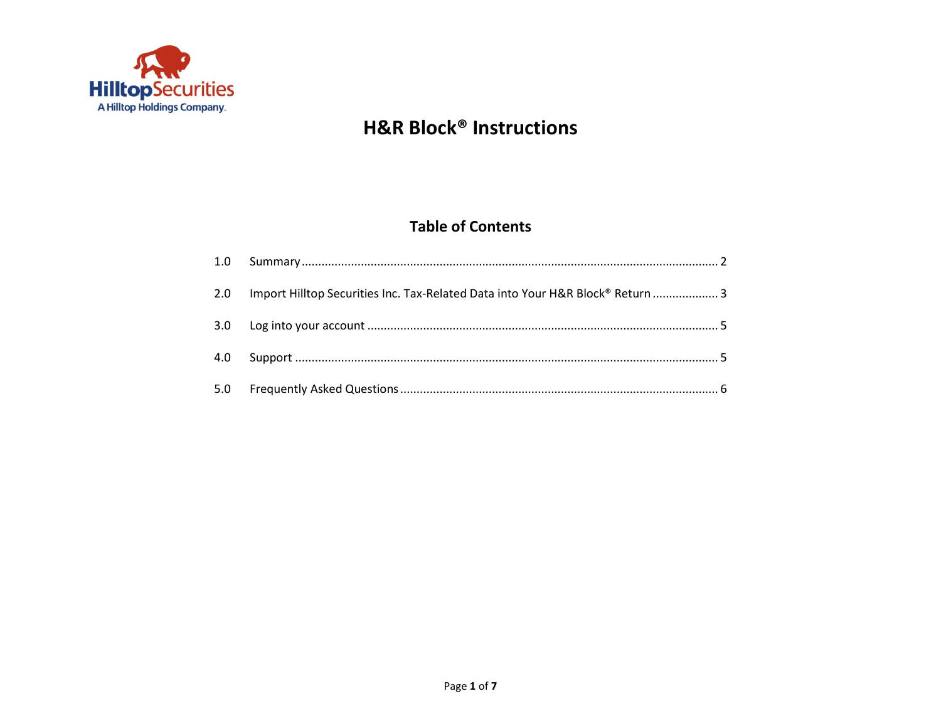

### **Table of Contents**

| 2.0 Import Hilltop Securities Inc. Tax-Related Data into Your H&R Block® Return  3 |  |
|------------------------------------------------------------------------------------|--|
|                                                                                    |  |
|                                                                                    |  |
|                                                                                    |  |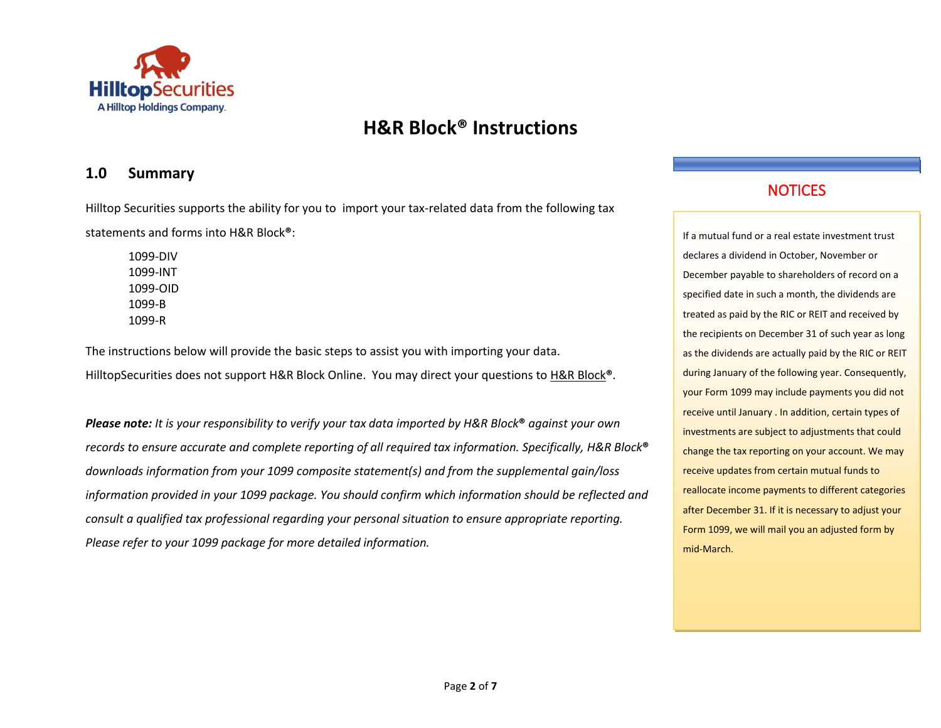

### <span id="page-1-0"></span>**1.0 Summary**

Hilltop Securities supports the ability for you to import your tax-related data from the following tax statements and forms into H&R Block**®**:

1099-DIV 1099-INT 1099-OID 1099-B 1099-R

The instructions below will provide the basic steps to assist you with importing your data. HilltopSecurities does not support H&R Block Online. You may direct your questions to [H&R Block](http://www.hrblock.com/)**®**.

*Please note: It is your responsibility to verify your tax data imported by H&R Block***®** *against your own records to ensure accurate and complete reporting of all required tax information. Specifically, H&R Block***®** *downloads information from your 1099 composite statement(s) and from the supplemental gain/loss information provided in your 1099 package. You should confirm which information should be reflected and consult a qualified tax professional regarding your personal situation to ensure appropriate reporting. Please refer to your 1099 package for more detailed information.*

### **NOTICES**

If a mutual fund or a real estate investment trust declares a dividend in October, November or December payable to shareholders of record on a specified date in such a month, the dividends are treated as paid by the RIC or REIT and received by the recipients on December 31 of such year as long as the dividends are actually paid by the RIC or REIT during January of the following year. Consequently, your Form 1099 may include payments you did not receive until January . In addition, certain types of investments are subject to adjustments that could change the tax reporting on your account. We may receive updates from certain mutual funds to reallocate income payments to different categories after December 31. If it is necessary to adjust your Form 1099, we will mail you an adjusted form by mid-March.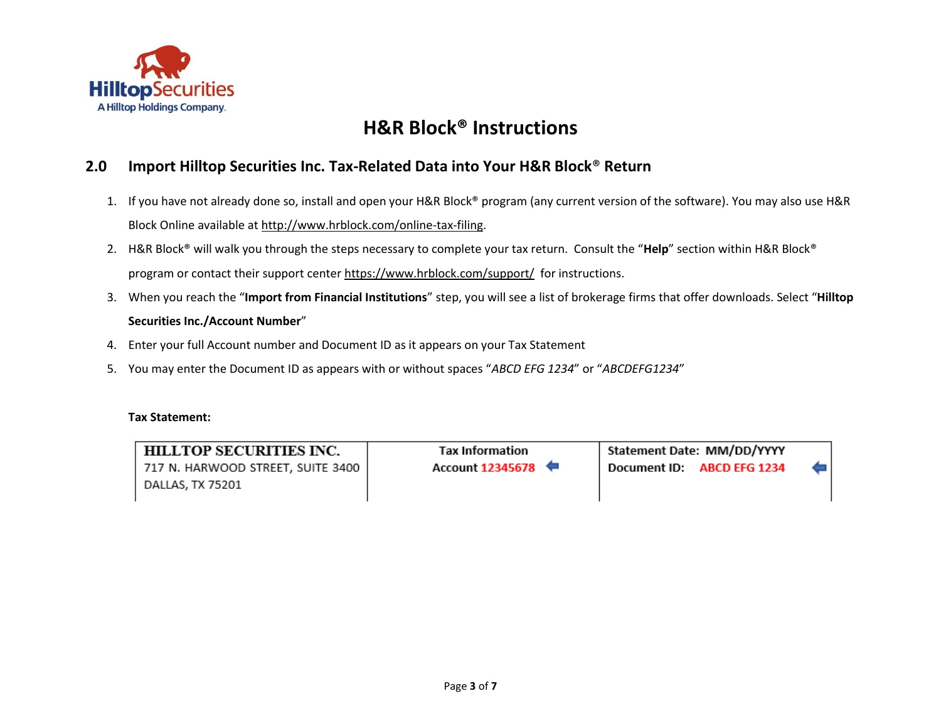

### <span id="page-2-0"></span>**2.0 Import Hilltop Securities Inc. Tax-Related Data into Your H&R Block**® **Return**

- 1. If you have not already done so, install and open your H&R Block® program (any current version of the software). You may also use H&R Block Online available at [http://www.hrblock.com/online-tax-filing.](http://www.hrblock.com/online-tax-filing)
- 2. H&R Block® will walk you through the steps necessary to complete your tax return. Consult the "**Help**" section within H&R Block® program or contact their support cente[r https://www.hrblock.com/support/](https://www.hrblock.com/support/) for instructions.
- 3. When you reach the "**Import from Financial Institutions**" step, you will see a list of brokerage firms that offer downloads. Select "**Hilltop Securities Inc./Account Number**"
- 4. Enter your full Account number and Document ID as it appears on your Tax Statement
- 5. You may enter the Document ID as appears with or without spaces "*ABCD EFG 1234*" or "*ABCDEFG1234*"

#### **Tax Statement:**

HILLTOP SECURITIES INC. 717 N. HARWOOD STREET, SUITE 3400 DALLAS, TX 75201

**Tax Information Account 12345678**  Statement Date: MM/DD/YYYY Document ID: ABCD EFG 1234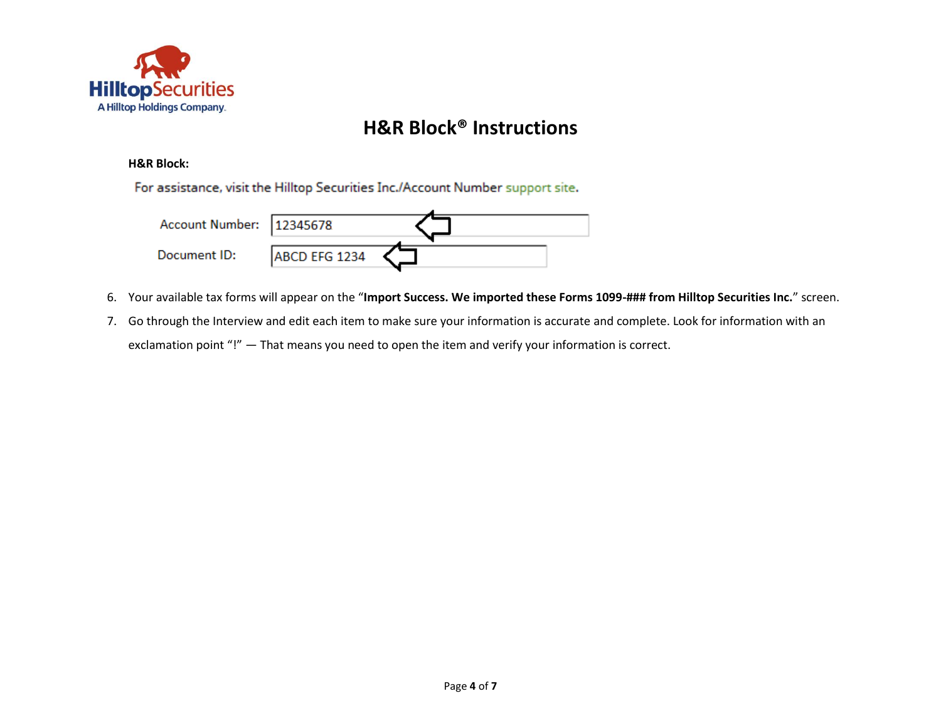

#### **H&R Block:**

For assistance, visit the Hilltop Securities Inc./Account Number support site.

| Account Number: 12345678 |               |  |
|--------------------------|---------------|--|
| Document ID:             | ABCD EFG 1234 |  |

- 6. Your available tax forms will appear on the "**Import Success. We imported these Forms 1099-### from Hilltop Securities Inc.**" screen.
- 7. Go through the Interview and edit each item to make sure your information is accurate and complete. Look for information with an exclamation point "!" - That means you need to open the item and verify your information is correct.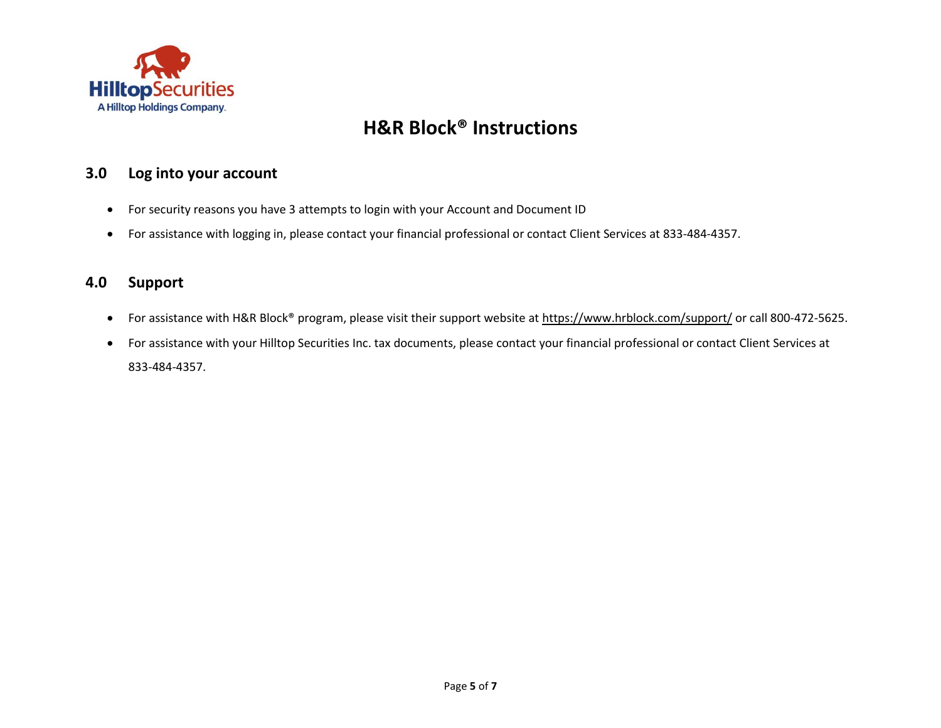

### <span id="page-4-0"></span>**3.0 Log into your account**

- For security reasons you have 3 attempts to login with your Account and Document ID
- For assistance with logging in, please contact your financial professional or contact Client Services at 833-484-4357.

### <span id="page-4-1"></span>**4.0 Support**

- For assistance with H&R Block<sup>®</sup> program, please visit their support website at<https://www.hrblock.com/support/> or call 800-472-5625.
- For assistance with your Hilltop Securities Inc. tax documents, please contact your financial professional or contact Client Services at 833-484-4357.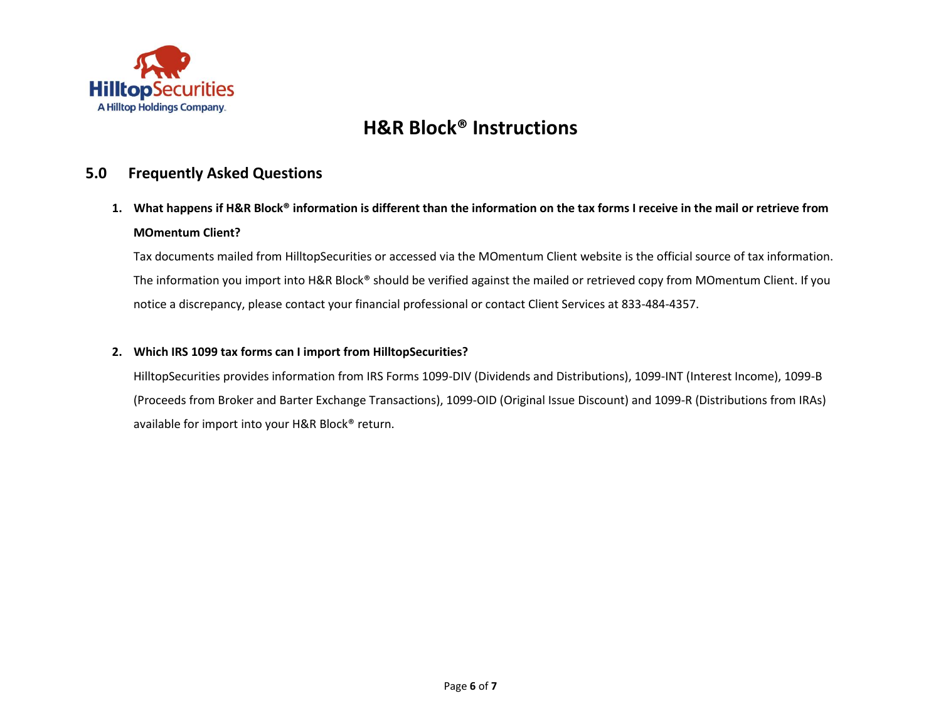

#### <span id="page-5-0"></span>**5.0 Frequently Asked Questions**

**1. What happens if H&R Block® information is different than the information on the tax forms I receive in the mail or retrieve from MOmentum Client?**

Tax documents mailed from HilltopSecurities or accessed via the MOmentum Client website is the official source of tax information. The information you import into H&R Block® should be verified against the mailed or retrieved copy from MOmentum Client. If you notice a discrepancy, please contact your financial professional or contact Client Services at 833-484-4357.

#### **2. Which IRS 1099 tax forms can I import from HilltopSecurities?**

HilltopSecurities provides information from IRS Forms 1099-DIV (Dividends and Distributions), 1099-INT (Interest Income), 1099-B (Proceeds from Broker and Barter Exchange Transactions), 1099-OID (Original Issue Discount) and 1099-R (Distributions from IRAs) available for import into your H&R Block® return.